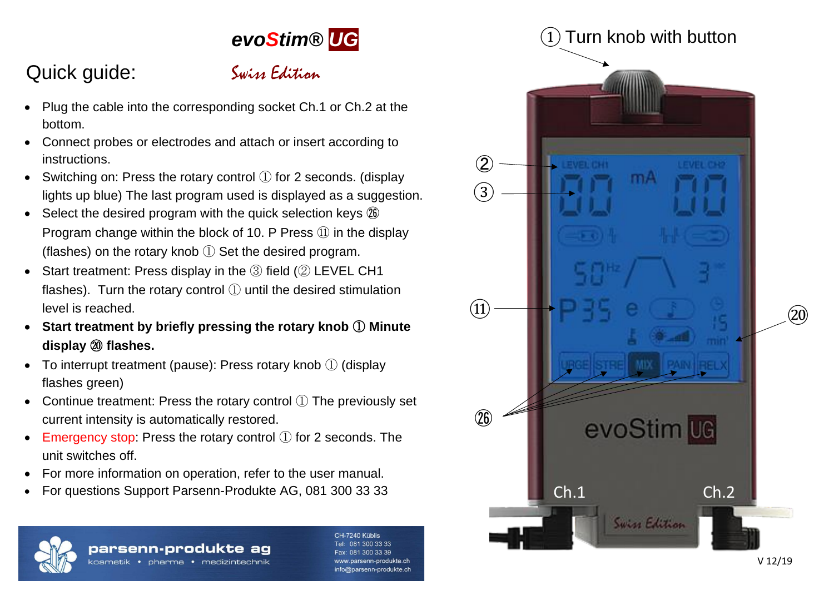# *evoStim® UG*

# Quick guide: Swiss Edition



- Plug the cable into the corresponding socket Ch.1 or Ch.2 at the bottom.
- Connect probes or electrodes and attach or insert according to instructions.
- Switching on: Press the rotary control ① for 2 seconds. (display lights up blue) The last program used is displayed as a suggestion.
- Select the desired program with the quick selection keys  $\mathcal{D}$ Program change within the block of 10. P Press ⑪ in the display (flashes) on the rotary knob ① Set the desired program.
- Start treatment: Press display in the ③ field (② LEVEL CH1 flashes). Turn the rotary control ① until the desired stimulation level is reached.
- **Start treatment by briefly pressing the rotary knob** ① **Minute display** ⑳ **flashes.**
- To interrupt treatment (pause): Press rotary knob ① (display flashes green)
- Continue treatment: Press the rotary control  $(1)$  The previously set current intensity is automatically restored.
- Emergency stop: Press the rotary control  $(1)$  for 2 seconds. The unit switches off.
- For more information on operation, refer to the user manual.
- For questions Support Parsenn-Produkte AG, 081 300 33 33



## parsenn-produkte ag

kosmetik • pharma • medizintechnik

CH-7240 Kühlis 081 300 33 33 300 33 39 w parsenn-produkte ch info@parsenn-produkte.ch

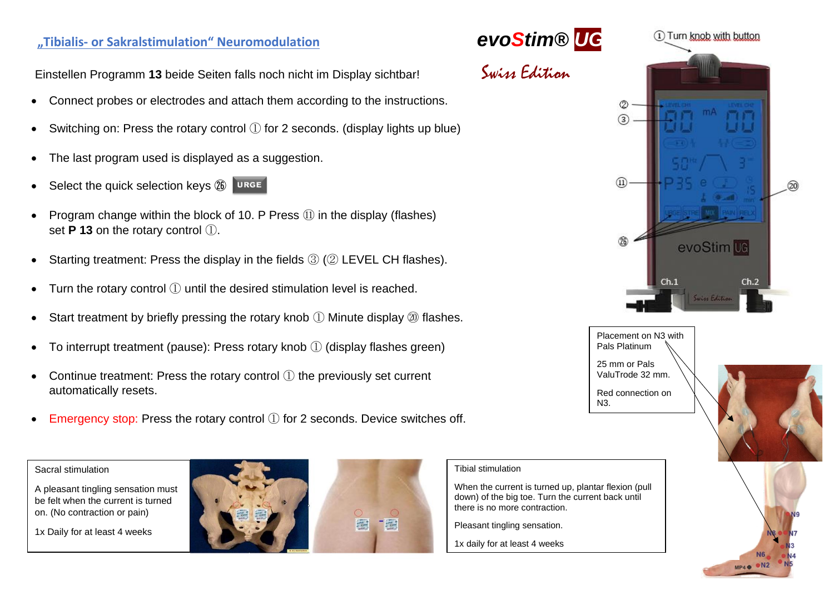## **"Tibialis- or Sakralstimulation" Neuromodulation** *evoStim® UG*

Einstellen Programm **13** beide Seiten falls noch nicht im Display sichtbar! **Swiss Edition** 

- Connect probes or electrodes and attach them according to the instructions.
- Switching on: Press the rotary control  $(1)$  for 2 seconds. (display lights up blue)
- The last program used is displayed as a suggestion.
- Select the quick selection keys  $\circled{B}$  URGE
- Program change within the block of 10. P Press  $(1)$  in the display (flashes) set **P 13** on the rotary control ①.
- Starting treatment: Press the display in the fields  $(3)$  ( $(2)$  LEVEL CH flashes).
- Turn the rotary control ① until the desired stimulation level is reached.
- Start treatment by briefly pressing the rotary knob  $\Omega$  Minute display  $\omega$  flashes.
- To interrupt treatment (pause): Press rotary knob  $\Omega$  (display flashes green)
- Continue treatment: Press the rotary control ① the previously set current automatically resets.
- Emergency stop: Press the rotary control ① for 2 seconds. Device switches off.

#### Sacral stimulation

A pleasant tingling sensation must be felt when the current is turned on. (No contraction or pain)

1x Daily for at least 4 weeks









Placement on N3 with Pals Platinum 25 mm or Pals ValuTrode 32 mm. Red connection on  $N3$ .



#### Tibial stimulation

When the current is turned up, plantar flexion (pull down) of the big toe. Turn the current back until there is no more contraction.

Pleasant tingling sensation.

1x daily for at least 4 weeks

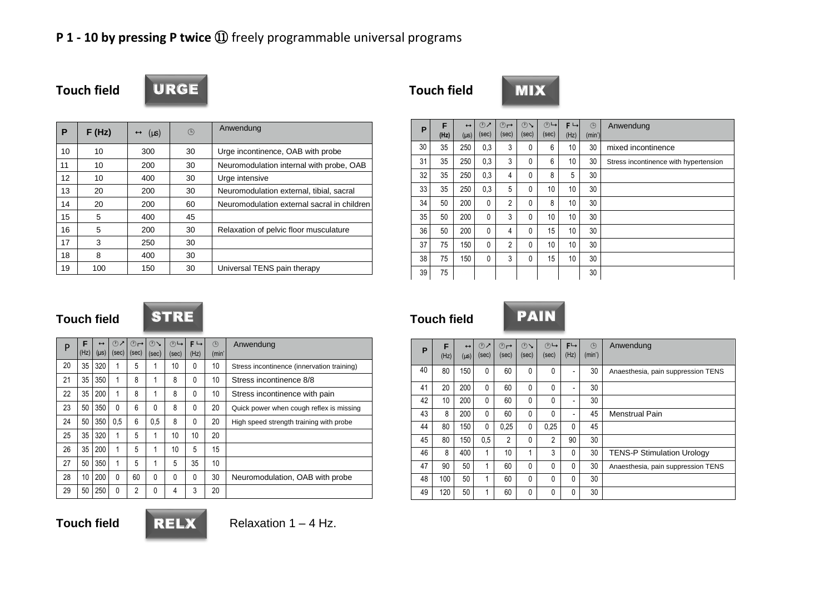### **P 1 - 10 by pressing P twice** ⑪ freely programmable universal programs

| <b>Touch field</b> |  |  |
|--------------------|--|--|
|--------------------|--|--|



**Touch field Touch field**



| P  | F(Hz) | $(\mu s)$<br>$\leftrightarrow$ | ⊕  | Anwendung                                   |
|----|-------|--------------------------------|----|---------------------------------------------|
| 10 | 10    | 300                            | 30 | Urge incontinence, OAB with probe           |
| 11 | 10    | 200                            | 30 | Neuromodulation internal with probe, OAB    |
| 12 | 10    | 400                            | 30 | Urge intensive                              |
| 13 | 20    | 200                            | 30 | Neuromodulation external, tibial, sacral    |
| 14 | 20    | 200                            | 60 | Neuromodulation external sacral in children |
| 15 | 5     | 400                            | 45 |                                             |
| 16 | 5     | 200                            | 30 | Relaxation of pelvic floor musculature      |
| 17 | 3     | 250                            | 30 |                                             |
| 18 | 8     | 400                            | 30 |                                             |
| 19 | 100   | 150                            | 30 | Universal TENS pain therapy                 |

| P  | F    | $\leftrightarrow$ | $\circledcirc$ | ⊕              | $\circlearrowright$ | ⊕┗    | $F \rightarrow$ | (1)    | Anwendung                             |
|----|------|-------------------|----------------|----------------|---------------------|-------|-----------------|--------|---------------------------------------|
|    | (Hz) | $(\mu s)$         | (sec)          | (sec)          | (sec)               | (sec) | (Hz)            | (min') |                                       |
| 30 | 35   | 250               | 0,3            | 3              | $\mathbf{0}$        | 6     | 10              | 30     | mixed incontinence                    |
| 31 | 35   | 250               | 0,3            | 3              | $\mathbf{0}$        | 6     | 10              | 30     | Stress incontinence with hypertension |
| 32 | 35   | 250               | 0,3            | 4              | $\mathbf{0}$        | 8     | 5               | 30     |                                       |
| 33 | 35   | 250               | 0,3            | 5              | $\mathbf{0}$        | 10    | 10              | 30     |                                       |
| 34 | 50   | 200               | 0              | $\overline{2}$ | $\mathbf{0}$        | 8     | 10              | 30     |                                       |
| 35 | 50   | 200               | $\mathbf{0}$   | 3              | $\mathbf{0}$        | 10    | 10              | 30     |                                       |
| 36 | 50   | 200               | $\mathbf{0}$   | 4              | $\mathbf{0}$        | 15    | 10              | 30     |                                       |
| 37 | 75   | 150               | $\mathbf{0}$   | $\overline{2}$ | $\mathbf{0}$        | 10    | 10              | 30     |                                       |
| 38 | 75   | 150               | $\mathbf{0}$   | 3              | $\mathbf{0}$        | 15    | 10              | 30     |                                       |
| 39 | 75   |                   |                |                |                     |       |                 | 30     |                                       |

RELX

| P  | F<br>(Hz) | $\leftrightarrow$<br>$(\mu s)$ | $\odot$<br>(sec) | $\circledcirc$<br>(sec) | $\bigcirc$<br>(sec) | $\bigcirc$<br>(sec) | $F \rightarrow$<br>(Hz) | ⊕<br>(min' | Anwendung                                  |
|----|-----------|--------------------------------|------------------|-------------------------|---------------------|---------------------|-------------------------|------------|--------------------------------------------|
| 20 | 35        | 320                            | 1                | 5                       |                     | 10                  | 0                       | 10         | Stress incontinence (innervation training) |
| 21 | 35        | 350                            | 1                | 8                       | 1                   | 8                   | 0                       | 10         | Stress incontinence 8/8                    |
| 22 | 35        | 200                            | 1                | 8                       | 1                   | 8                   | $\Omega$                | 10         | Stress incontinence with pain              |
| 23 | 50        | 350                            | $\Omega$         | 6                       | 0                   | 8                   | $\Omega$                | 20         | Quick power when cough reflex is missing   |
| 24 | 50        | 350                            | 0.5              | 6                       | 0.5                 | 8                   | 0                       | 20         | High speed strength training with probe    |
| 25 | 35        | 320                            | 1                | 5                       | 1                   | 10                  | 10                      | 20         |                                            |
| 26 | 35        | 200                            | 1                | 5                       | 1                   | 10                  | 5                       | 15         |                                            |
| 27 | 50        | 350                            | 1                | 5                       | 1                   | 5                   | 35                      | 10         |                                            |
| 28 | 10        | 200                            | 0                | 60                      | 0                   | 0                   | $\Omega$                | 30         | Neuromodulation, OAB with probe            |
| 29 | 50        | 250                            | 0                | $\overline{2}$          | 0                   | 4                   | 3                       | 20         |                                            |

#### **Touch field STRE Touch field PAIN**



| P  | F<br>(Hz)        | $\leftrightarrow$<br>$(\mu s)$ | $\mathcal{D}$<br>(sec) | ⊕⊣<br>(sec)    | $\mathcal{O}$<br>(sec) | (7)<br>(sec)   | $F \rightarrow$<br>(Hz) | (1)<br>(min') | Anwendung                          |
|----|------------------|--------------------------------|------------------------|----------------|------------------------|----------------|-------------------------|---------------|------------------------------------|
| 40 | 80               | 150                            | 0                      | 60             | 0                      | $\mathbf{0}$   | -                       | 30            | Anaesthesia, pain suppression TENS |
| 41 | 20               | 200                            | 0                      | 60             | 0                      | $\mathbf{0}$   |                         | 30            |                                    |
| 42 | 10 <sup>10</sup> | 200                            | 0                      | 60             | 0                      | $\mathbf{0}$   |                         | 30            |                                    |
| 43 | 8                | 200                            | 0                      | 60             | 0                      | $\mathbf{0}$   |                         | 45            | Menstrual Pain                     |
| 44 | 80               | 150                            | 0                      | 0.25           | 0                      | 0,25           | 0                       | 45            |                                    |
| 45 | 80               | 150                            | 0.5                    | $\overline{c}$ | 0                      | $\overline{2}$ | 90                      | 30            |                                    |
| 46 | 8                | 400                            | 1                      | 10             | 1                      | 3              | 0                       | 30            | <b>TENS-P Stimulation Urology</b>  |
| 47 | 90               | 50                             | 1                      | 60             | 0                      | $\mathbf{0}$   | 0                       | 30            | Anaesthesia, pain suppression TENS |
| 48 | 100              | 50                             | 1                      | 60             | 0                      | $\mathbf{0}$   | 0                       | 30            |                                    |
| 49 | 120              | 50                             | 1                      | 60             | 0                      | 0              | 0                       | 30            |                                    |